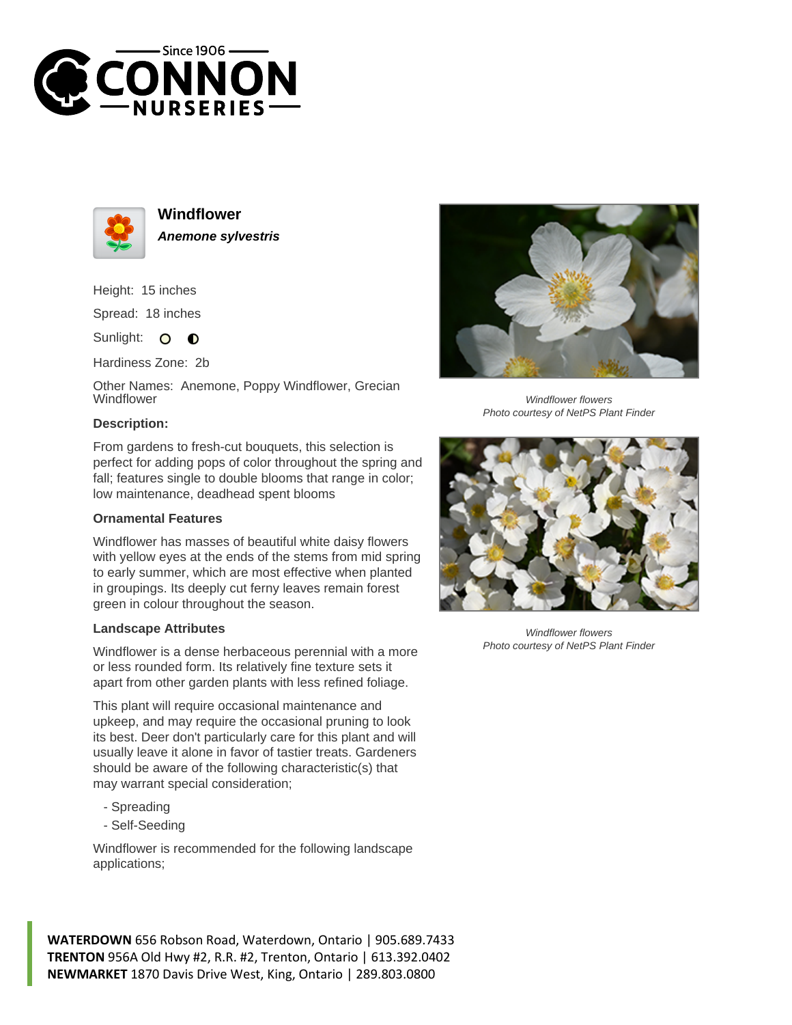



**Windflower Anemone sylvestris**

Height: 15 inches Spread: 18 inches

Sunlight: O  $\bullet$ 

Hardiness Zone: 2b

Other Names: Anemone, Poppy Windflower, Grecian **Windflower** 

## **Description:**

From gardens to fresh-cut bouquets, this selection is perfect for adding pops of color throughout the spring and fall; features single to double blooms that range in color; low maintenance, deadhead spent blooms

## **Ornamental Features**

Windflower has masses of beautiful white daisy flowers with yellow eyes at the ends of the stems from mid spring to early summer, which are most effective when planted in groupings. Its deeply cut ferny leaves remain forest green in colour throughout the season.

## **Landscape Attributes**

Windflower is a dense herbaceous perennial with a more or less rounded form. Its relatively fine texture sets it apart from other garden plants with less refined foliage.

This plant will require occasional maintenance and upkeep, and may require the occasional pruning to look its best. Deer don't particularly care for this plant and will usually leave it alone in favor of tastier treats. Gardeners should be aware of the following characteristic(s) that may warrant special consideration;

- Spreading
- Self-Seeding

Windflower is recommended for the following landscape applications;

**WATERDOWN** 656 Robson Road, Waterdown, Ontario | 905.689.7433 **TRENTON** 956A Old Hwy #2, R.R. #2, Trenton, Ontario | 613.392.0402 **NEWMARKET** 1870 Davis Drive West, King, Ontario | 289.803.0800



Windflower flowers Photo courtesy of NetPS Plant Finder



Windflower flowers Photo courtesy of NetPS Plant Finder